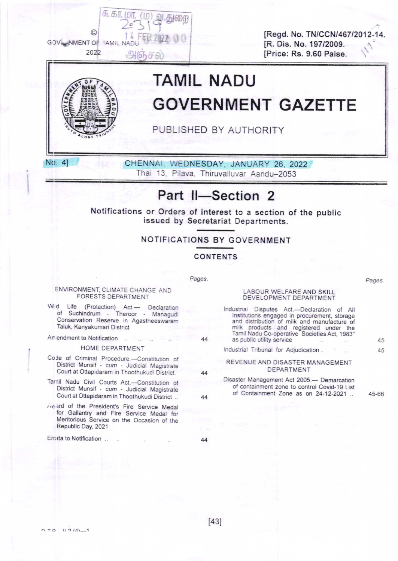[Regd. No. TN/CCN/467/2012-14. [R. Dis. No. 197/2009. [Price: Rs. 9.60 Paise.



No. 4]

**GOV WMENT OF TAMIL NAD** 

2022

சு. கா. மா

அஞசு

# **TAMIL NADU GOVERNMENT GAZETTE**

PUBLISHED BY AUTHORITY

0

CHENNAI, WEDNESDAY, JANUARY 26, 2022 Thai 13, Pilava, Thiruvalluvar Aandu-2053

# Part II-Section 2

Notifications or Orders of interest to a section of the public issued by Secretariat Departments.

## NOTIFICATIONS BY GOVERNMENT

**CONTENTS** 

Pages.

Pages.

#### LABOUR WELFARE AND SKILL DEVELOPMENT DEPARTMENT

| 44 | inquisinal Disputes Act.—Declaration of All<br>Institutions engaged in procurement, storage<br>and distribution of milk and manufacture of<br>milk products and registered under the<br>Tamil Nadu Co-operative Societies Act, 1983"<br>as public utility service | 45 |
|----|-------------------------------------------------------------------------------------------------------------------------------------------------------------------------------------------------------------------------------------------------------------------|----|
|    | Industrial Tribunal for Adjudication                                                                                                                                                                                                                              | 45 |
| 44 | REVENUE AND DISASTER MANAGEMENT<br>DEPARTMENT                                                                                                                                                                                                                     |    |
|    | Disaster Management Act 2005.- Demarcation<br>of containment zone to control Covid-19 List<br>of Containment Zone as on 24-12-2021                                                                                                                                |    |

44

Avand of the President's Fire Service Medal for Gallantry and Fire Service Medal for Meritorious Service on the Occasion of the Republic Day, 2021

Tarnil Nadu Civil Courts Act.--Constitution of<br>District Munsif - cum - Judicial Magistrate

Court at Ottapidaram in Thoothukudi District.

ENVIRONMENT, CLIMATE CHANGE AND

**FORESTS DEPARTMENT** 

Wid Life (Protection) Act.— Declaration<br>of Suchindrum - Theroor - Managudi Conservation Reserve in Agastheeswaram

HOME DEPARTMENT Code of Criminal Procedure.-Constitution of District Munsif - cum - Judicial Magistrate Court at Ottapidaram in Thoothukudi District.

Taluk, Kanyakumari District Amendment to Notification ...

Errata to Notification ..

44